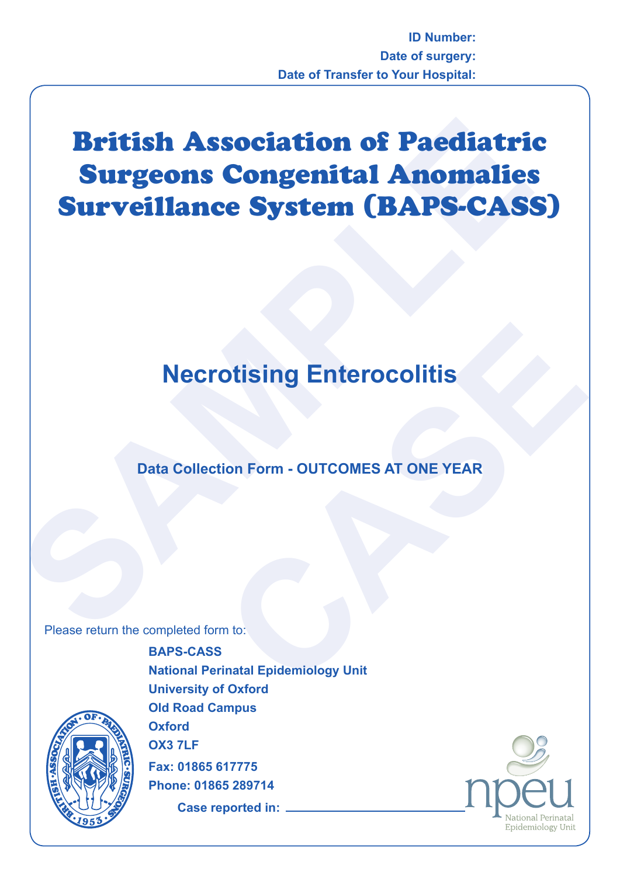# **British Association of Paediatri<br>
Surgeons Congenital Anomalies<br>
Surveillance System (BAPS-CAS:<br>
Necrotising Enterocolitis<br>
Data Collection Form - OUTCOMES AT ONE YEAR<br>
Please return the completed form to:** British Association of Paediatric Surgeons Congenital Anomalies Surveillance System (BAPS-CASS)

# **Necrotising Enterocolitis**

# **Data Collection Form - OUTCOMES AT ONE YEAR**

Please return the completed form to:



**CONSIDER STATE OF SAMPLE SERVED AND READ TO SAMPLE SERVED AND THE VEAR WEST ONE YEAR WEST ONE YEAR WEST OF SAMPLE SERVED WITH THE SUPPORT OF SAMPLE SERVED WITH SAMPLE SUPPORT OF SAMPLE SUPPORT OF SAMPLE SUPPORT OF SAMPLE BAPS-CASS National Perinatal Epidemiology Unit University of Oxford Old Road Campus Oxford OX3 7LF Fax: 01865 617775 Phone: 01865 289714**

**Case reported in:**

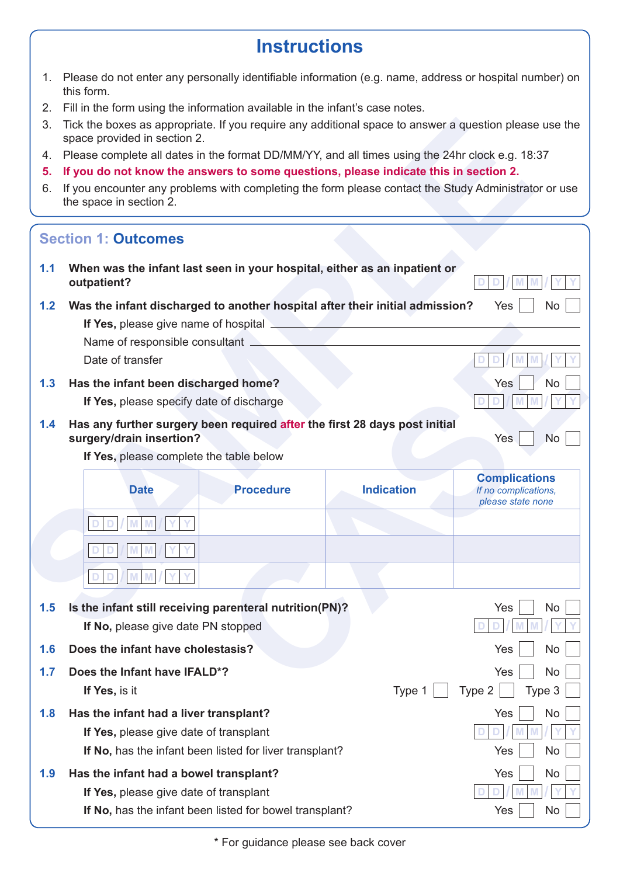# **Instructions**

- 1. Please do not enter any personally identifiable information (e.g. name, address or hospital number) on this form.
- 2. Fill in the form using the information available in the infant's case notes.
- 3. Tick the boxes as appropriate. If you require any additional space to answer a question please use the space provided in section 2.
- 4. Please complete all dates in the format DD/MM/YY, and all times using the 24hr clock e.g. 18:37
- **5. If you do not know the answers to some questions, please indicate this in section 2.**
- 6. If you encounter any problems with completing the form please contact the Study Administrator or use the space in section 2.

| 3.  | Tick the boxes as appropriate. If you require any additional space to answer a question please use the<br>space provided in section 2.            |                   |                                                                   |
|-----|---------------------------------------------------------------------------------------------------------------------------------------------------|-------------------|-------------------------------------------------------------------|
| 4.  | Please complete all dates in the format DD/MM/YY, and all times using the 24hr clock e.g. 18:37                                                   |                   |                                                                   |
| 5.  | If you do not know the answers to some questions, please indicate this in section 2.                                                              |                   |                                                                   |
| 6.  | If you encounter any problems with completing the form please contact the Study Administrator or use<br>the space in section 2.                   |                   |                                                                   |
|     | <b>Section 1: Outcomes</b>                                                                                                                        |                   |                                                                   |
| 1.1 | When was the infant last seen in your hospital, either as an inpatient or<br>outpatient?                                                          |                   |                                                                   |
| 1.2 | Was the infant discharged to another hospital after their initial admission?                                                                      |                   | Yes<br>No.                                                        |
|     | If Yes, please give name of hospital                                                                                                              |                   |                                                                   |
|     | Name of responsible consultant                                                                                                                    |                   |                                                                   |
|     | Date of transfer                                                                                                                                  |                   |                                                                   |
| 1.3 | Has the infant been discharged home?                                                                                                              |                   | Yes<br>No                                                         |
|     | If Yes, please specify date of discharge                                                                                                          |                   |                                                                   |
| 1.4 | Has any further surgery been required after the first 28 days post initial<br>surgery/drain insertion?<br>If Yes, please complete the table below |                   | Yes<br><b>No</b>                                                  |
|     | <b>Procedure</b><br><b>Date</b>                                                                                                                   | <b>Indication</b> | <b>Complications</b><br>If no complications,<br>please state none |
|     |                                                                                                                                                   |                   |                                                                   |
|     |                                                                                                                                                   |                   |                                                                   |
|     | D                                                                                                                                                 |                   |                                                                   |
| 1.5 | Is the infant still receiving parenteral nutrition(PN)?                                                                                           |                   | Yes<br>No                                                         |
|     | If No, please give date PN stopped                                                                                                                |                   |                                                                   |
| 1.6 | Does the infant have cholestasis?                                                                                                                 |                   | No<br>Yes                                                         |
|     |                                                                                                                                                   |                   |                                                                   |
| 1.7 | Does the Infant have IFALD*?                                                                                                                      |                   | Yes<br>No                                                         |
|     | If Yes, is it                                                                                                                                     | Type 1            | Type 3<br>Type 2                                                  |
| 1.8 | Has the infant had a liver transplant?                                                                                                            |                   | No<br>Yes                                                         |
|     | If Yes, please give date of transplant                                                                                                            |                   |                                                                   |
|     | If No, has the infant been listed for liver transplant?                                                                                           |                   | Yes<br>No                                                         |
| 1.9 | Has the infant had a bowel transplant?                                                                                                            |                   | No<br>Yes                                                         |
|     | If Yes, please give date of transplant                                                                                                            |                   |                                                                   |

\* For guidance please see back cover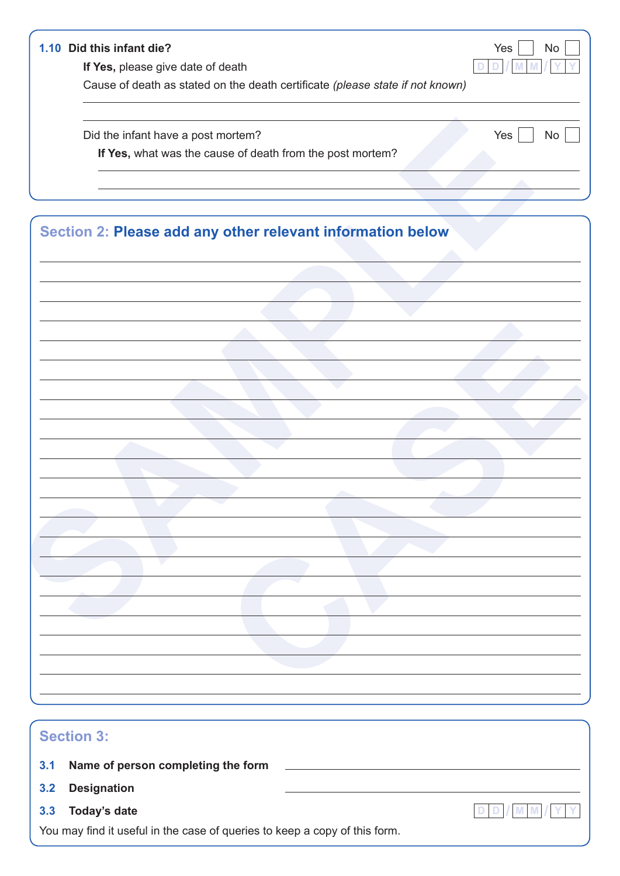### **1.10 Did this infant die?** Yes  $\begin{array}{|c|c|c|c|c|} \hline \end{array}$  No

**If Yes,** please give date of death **D D** *D* **D M** 

Cause of death as stated on the death certificate *(please state if not known)*

| Did the infant have a post mortem?                         | Yes<br>No |
|------------------------------------------------------------|-----------|
| If Yes, what was the cause of death from the post mortem?  |           |
|                                                            |           |
|                                                            |           |
|                                                            |           |
| Section 2: Please add any other relevant information below |           |
|                                                            |           |
|                                                            |           |
|                                                            |           |
|                                                            |           |
|                                                            |           |
|                                                            |           |
|                                                            |           |
|                                                            |           |
|                                                            |           |
|                                                            |           |
|                                                            |           |
|                                                            |           |
|                                                            |           |
|                                                            |           |
|                                                            |           |
|                                                            |           |
|                                                            |           |
|                                                            |           |
|                                                            |           |
|                                                            |           |
|                                                            |           |
|                                                            |           |
|                                                            |           |
|                                                            |           |
|                                                            |           |

# **Section 3:**

|  | 3.1 Name of person completing the form |
|--|----------------------------------------|
|--|----------------------------------------|

- **3.2 Designation**
- **3.3 Today's date D D** *D* **M M M M** *M M P*

You may find it useful in the case of queries to keep a copy of this form.